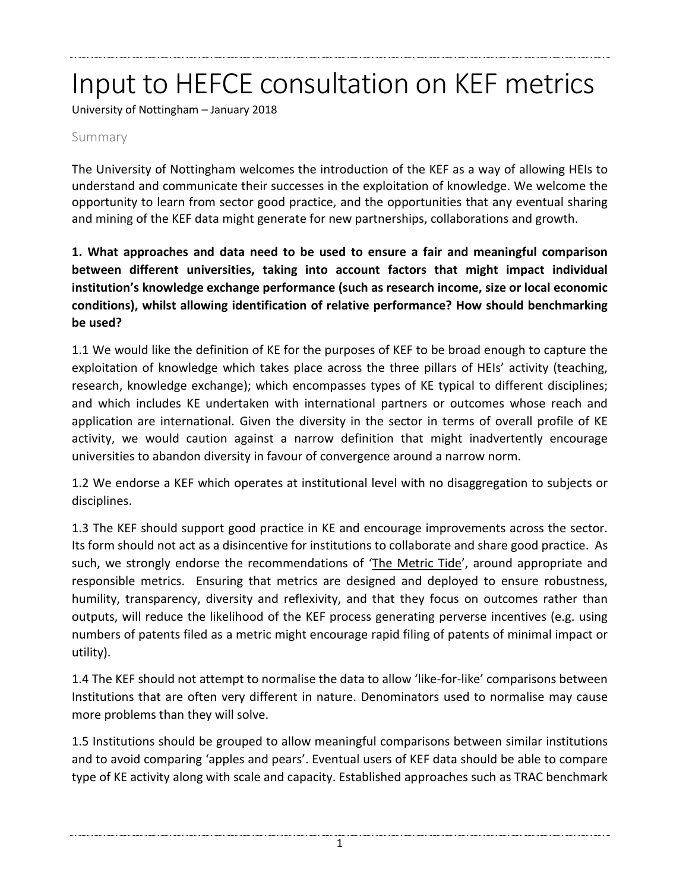# Input to HEFCE consultation on KEF metrics

University of Nottingham – January 2018

#### Summary

The University of Nottingham welcomes the introduction of the KEF as a way of allowing HEIs to understand and communicate their successes in the exploitation of knowledge. We welcome the opportunity to learn from sector good practice, and the opportunities that any eventual sharing and mining of the KEF data might generate for new partnerships, collaborations and growth.

**1. What approaches and data need to be used to ensure a fair and meaningful comparison between different universities, taking into account factors that might impact individual institution's knowledge exchange performance (such as research income, size or local economic conditions), whilst allowing identification of relative performance? How should benchmarking be used?**

1.1 We would like the definition of KE for the purposes of KEF to be broad enough to capture the exploitation of knowledge which takes place across the three pillars of HEIs' activity (teaching, research, knowledge exchange); which encompasses types of KE typical to different disciplines; and which includes KE undertaken with international partners or outcomes whose reach and application are international. Given the diversity in the sector in terms of overall profile of KE activity, we would caution against a narrow definition that might inadvertently encourage universities to abandon diversity in favour of convergence around a narrow norm.

1.2 We endorse a KEF which operates at institutional level with no disaggregation to subjects or disciplines.

1.3 The KEF should support good practice in KE and encourage improvements across the sector. Its form should not act as a disincentive for institutions to collaborate and share good practice. As such, we strongly endorse the recommendations of 'The [Metric](http://www.hefce.ac.uk/pubs/rereports/year/2015/metrictide/) Tide', around appropriate and responsible metrics. Ensuring that metrics are designed and deployed to ensure robustness, humility, transparency, diversity and reflexivity, and that they focus on outcomes rather than outputs, will reduce the likelihood of the KEF process generating perverse incentives (e.g. using numbers of patents filed as a metric might encourage rapid filing of patents of minimal impact or utility).

1.4 The KEF should not attempt to normalise the data to allow 'like-for-like' comparisons between Institutions that are often very different in nature. Denominators used to normalise may cause more problems than they will solve.

1.5 Institutions should be grouped to allow meaningful comparisons between similar institutions and to avoid comparing 'apples and pears'. Eventual users of KEF data should be able to compare type of KE activity along with scale and capacity. Established approaches such as TRAC benchmark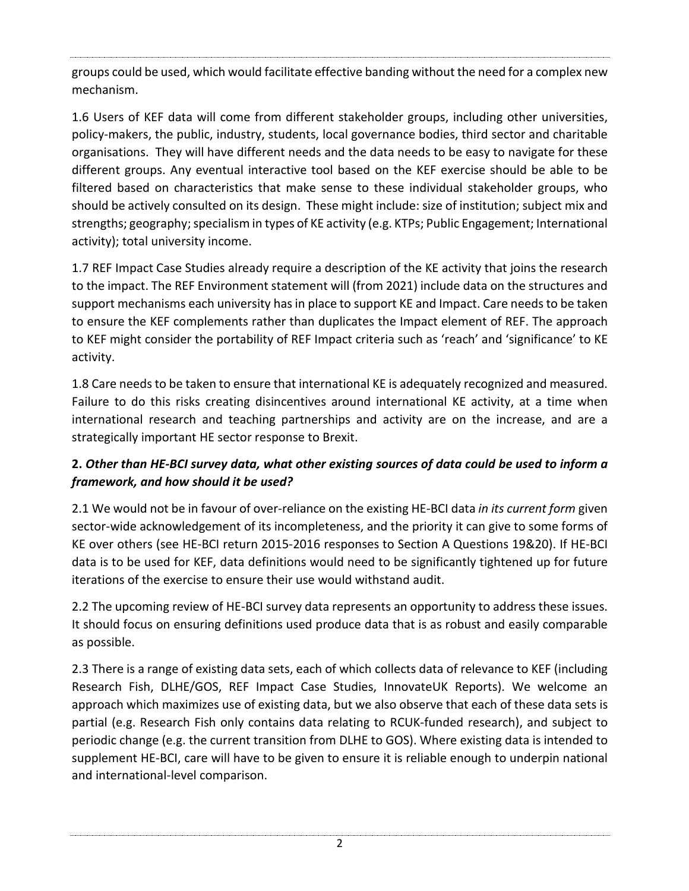groups could be used, which would facilitate effective banding without the need for a complex new mechanism.

1.6 Users of KEF data will come from different stakeholder groups, including other universities, policy-makers, the public, industry, students, local governance bodies, third sector and charitable organisations. They will have different needs and the data needs to be easy to navigate for these different groups. Any eventual interactive tool based on the KEF exercise should be able to be filtered based on characteristics that make sense to these individual stakeholder groups, who should be actively consulted on its design. These might include: size of institution; subject mix and strengths; geography;specialism in types of KE activity (e.g. KTPs; Public Engagement; International activity); total university income.

1.7 REF Impact Case Studies already require a description of the KE activity that joins the research to the impact. The REF Environment statement will (from 2021) include data on the structures and support mechanisms each university has in place to support KE and Impact. Care needs to be taken to ensure the KEF complements rather than duplicates the Impact element of REF. The approach to KEF might consider the portability of REF Impact criteria such as 'reach' and 'significance' to KE activity.

1.8 Care needs to be taken to ensure that international KE is adequately recognized and measured. Failure to do this risks creating disincentives around international KE activity, at a time when international research and teaching partnerships and activity are on the increase, and are a strategically important HE sector response to Brexit.

#### **2.** *Other than HE-BCI survey data, what other existing sources of data could be used to inform a framework, and how should it be used?*

2.1 We would not be in favour of over-reliance on the existing HE-BCI data *in its current form* given sector-wide acknowledgement of its incompleteness, and the priority it can give to some forms of KE over others (see HE-BCI return 2015-2016 responses to Section A Questions 19&20). If HE-BCI data is to be used for KEF, data definitions would need to be significantly tightened up for future iterations of the exercise to ensure their use would withstand audit.

2.2 The upcoming review of HE-BCI survey data represents an opportunity to address these issues. It should focus on ensuring definitions used produce data that is as robust and easily comparable as possible.

2.3 There is a range of existing data sets, each of which collects data of relevance to KEF (including Research Fish, DLHE/GOS, REF Impact Case Studies, InnovateUK Reports). We welcome an approach which maximizes use of existing data, but we also observe that each of these data sets is partial (e.g. Research Fish only contains data relating to RCUK-funded research), and subject to periodic change (e.g. the current transition from DLHE to GOS). Where existing data is intended to supplement HE-BCI, care will have to be given to ensure it is reliable enough to underpin national and international-level comparison.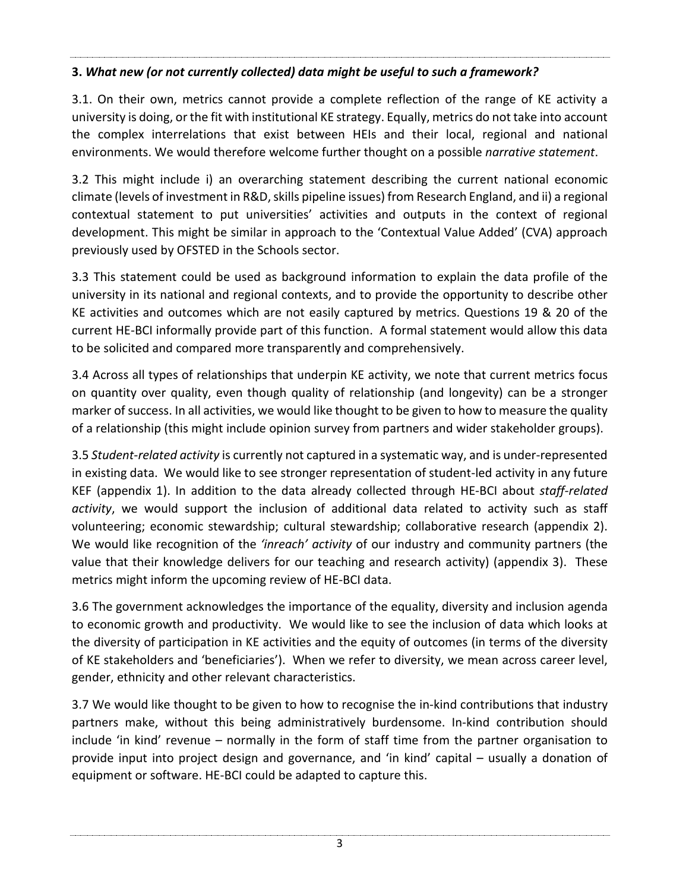#### **3.** *What new (or not currently collected) data might be useful to such a framework?*

3.1. On their own, metrics cannot provide a complete reflection of the range of KE activity a university is doing, orthe fit with institutional KE strategy. Equally, metrics do not take into account the complex interrelations that exist between HEIs and their local, regional and national environments. We would therefore welcome further thought on a possible *narrative statement*.

3.2 This might include i) an overarching statement describing the current national economic climate (levels of investment in R&D, skills pipeline issues) from Research England, and ii) a regional contextual statement to put universities' activities and outputs in the context of regional development. This might be similar in approach to the 'Contextual Value Added' (CVA) approach previously used by OFSTED in the Schools sector.

3.3 This statement could be used as background information to explain the data profile of the university in its national and regional contexts, and to provide the opportunity to describe other KE activities and outcomes which are not easily captured by metrics. Questions 19 & 20 of the current HE-BCI informally provide part of this function. A formal statement would allow this data to be solicited and compared more transparently and comprehensively.

3.4 Across all types of relationships that underpin KE activity, we note that current metrics focus on quantity over quality, even though quality of relationship (and longevity) can be a stronger marker of success. In all activities, we would like thought to be given to how to measure the quality of a relationship (this might include opinion survey from partners and wider stakeholder groups).

3.5 *Student-related activity* is currently not captured in a systematic way, and is under-represented in existing data. We would like to see stronger representation of student-led activity in any future KEF (appendix 1). In addition to the data already collected through HE-BCI about *staff-related activity*, we would support the inclusion of additional data related to activity such as staff volunteering; economic stewardship; cultural stewardship; collaborative research (appendix 2). We would like recognition of the *'inreach' activity* of our industry and community partners (the value that their knowledge delivers for our teaching and research activity) (appendix 3). These metrics might inform the upcoming review of HE-BCI data.

3.6 The government acknowledges the importance of the equality, diversity and inclusion agenda to economic growth and productivity. We would like to see the inclusion of data which looks at the diversity of participation in KE activities and the equity of outcomes (in terms of the diversity of KE stakeholders and 'beneficiaries'). When we refer to diversity, we mean across career level, gender, ethnicity and other relevant characteristics.

3.7 We would like thought to be given to how to recognise the in-kind contributions that industry partners make, without this being administratively burdensome. In-kind contribution should include 'in kind' revenue – normally in the form of staff time from the partner organisation to provide input into project design and governance, and 'in kind' capital – usually a donation of equipment or software. HE-BCI could be adapted to capture this.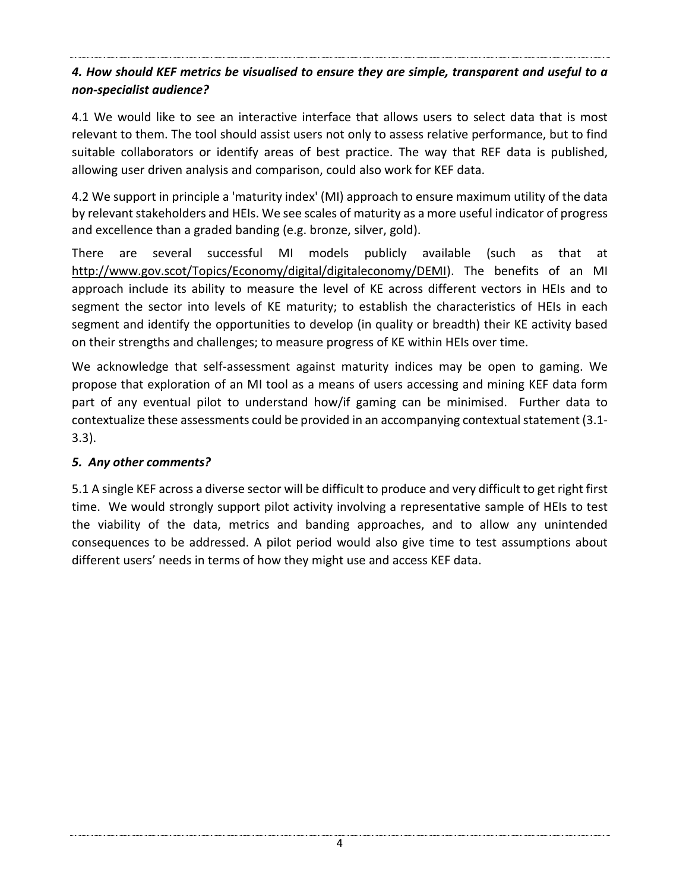#### *4. How should KEF metrics be visualised to ensure they are simple, transparent and useful to a non-specialist audience?*

4.1 We would like to see an interactive interface that allows users to select data that is most relevant to them. The tool should assist users not only to assess relative performance, but to find suitable collaborators or identify areas of best practice. The way that REF data is published, allowing user driven analysis and comparison, could also work for KEF data.

4.2 We support in principle a 'maturity index' (MI) approach to ensure maximum utility of the data by relevant stakeholders and HEIs. We see scales of maturity as a more useful indicator of progress and excellence than a graded banding (e.g. bronze, silver, gold).

There are several successful MI models publicly available (such as that at [http://www.gov.scot/Topics/Economy/digital/digitaleconomy/DEMI\)](http://www.gov.scot/Topics/Economy/digital/digitaleconomy/DEMI). The benefits of an MI approach include its ability to measure the level of KE across different vectors in HEIs and to segment the sector into levels of KE maturity; to establish the characteristics of HEIs in each segment and identify the opportunities to develop (in quality or breadth) their KE activity based on their strengths and challenges; to measure progress of KE within HEIs over time.

We acknowledge that self-assessment against maturity indices may be open to gaming. We propose that exploration of an MI tool as a means of users accessing and mining KEF data form part of any eventual pilot to understand how/if gaming can be minimised. Further data to contextualize these assessments could be provided in an accompanying contextual statement (3.1-3.3).

#### *5. Any other comments?*

5.1 A single KEF across a diverse sector will be difficult to produce and very difficult to get right first time. We would strongly support pilot activity involving a representative sample of HEIs to test the viability of the data, metrics and banding approaches, and to allow any unintended consequences to be addressed. A pilot period would also give time to test assumptions about different users' needs in terms of how they might use and access KEF data.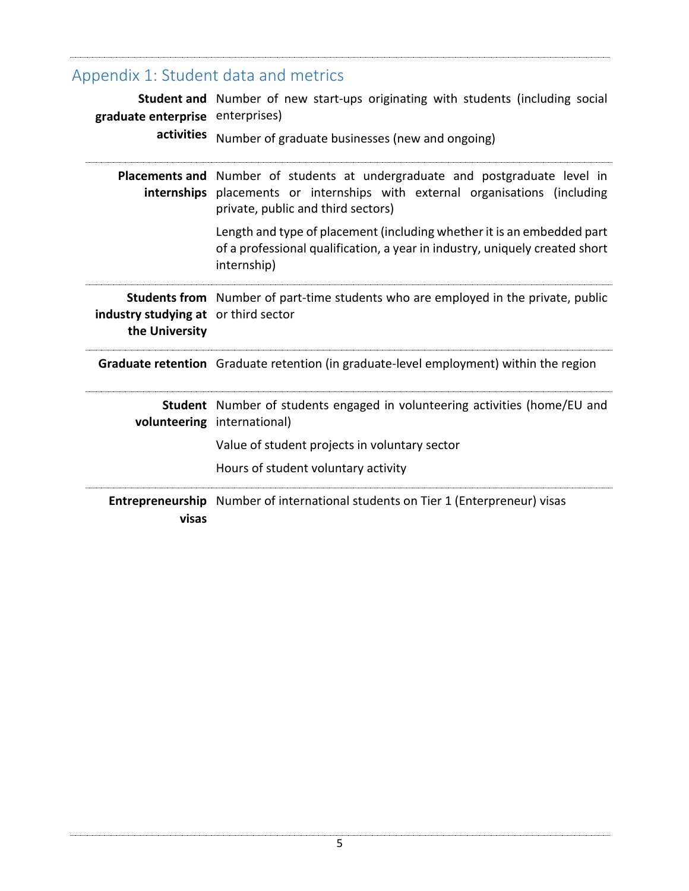| Appendix 1: Student data and metrics                   |                                                                                                                                                                                                    |
|--------------------------------------------------------|----------------------------------------------------------------------------------------------------------------------------------------------------------------------------------------------------|
| graduate enterprise enterprises)<br>activities         | Student and Number of new start-ups originating with students (including social                                                                                                                    |
|                                                        | Number of graduate businesses (new and ongoing)                                                                                                                                                    |
|                                                        | Placements and Number of students at undergraduate and postgraduate level in<br>internships placements or internships with external organisations (including<br>private, public and third sectors) |
|                                                        | Length and type of placement (including whether it is an embedded part<br>of a professional qualification, a year in industry, uniquely created short<br>internship)                               |
| industry studying at or third sector<br>the University | <b>Students from</b> Number of part-time students who are employed in the private, public                                                                                                          |
|                                                        | Graduate retention Graduate retention (in graduate-level employment) within the region                                                                                                             |
|                                                        | Student Number of students engaged in volunteering activities (home/EU and<br>volunteering international)                                                                                          |
|                                                        | Value of student projects in voluntary sector                                                                                                                                                      |
|                                                        | Hours of student voluntary activity                                                                                                                                                                |
| visas                                                  | Entrepreneurship Number of international students on Tier 1 (Enterpreneur) visas                                                                                                                   |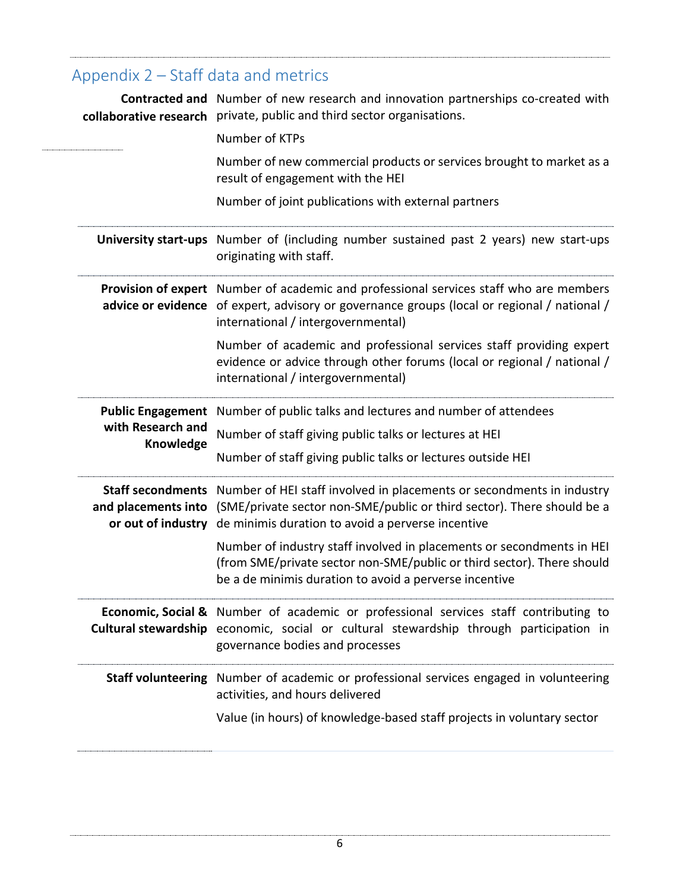## Appendix 2 – Staff data and metrics

|                                | <b>Contracted and</b> Number of new research and innovation partnerships co-created with<br>collaborative research private, public and third sector organisations.                                                                         |
|--------------------------------|--------------------------------------------------------------------------------------------------------------------------------------------------------------------------------------------------------------------------------------------|
|                                | Number of KTPs                                                                                                                                                                                                                             |
|                                | Number of new commercial products or services brought to market as a<br>result of engagement with the HEI                                                                                                                                  |
|                                | Number of joint publications with external partners                                                                                                                                                                                        |
|                                | University start-ups Number of (including number sustained past 2 years) new start-ups<br>originating with staff.                                                                                                                          |
|                                | Provision of expert Number of academic and professional services staff who are members<br>advice or evidence of expert, advisory or governance groups (local or regional / national /<br>international / intergovernmental)                |
|                                | Number of academic and professional services staff providing expert<br>evidence or advice through other forums (local or regional / national /<br>international / intergovernmental)                                                       |
| with Research and<br>Knowledge | Public Engagement Number of public talks and lectures and number of attendees                                                                                                                                                              |
|                                | Number of staff giving public talks or lectures at HEI                                                                                                                                                                                     |
|                                | Number of staff giving public talks or lectures outside HEI                                                                                                                                                                                |
| or out of industry             | Staff secondments Number of HEI staff involved in placements or secondments in industry<br>and placements into (SME/private sector non-SME/public or third sector). There should be a<br>de minimis duration to avoid a perverse incentive |
|                                | Number of industry staff involved in placements or secondments in HEI<br>(from SME/private sector non-SME/public or third sector). There should<br>be a de minimis duration to avoid a perverse incentive                                  |
|                                | <b>Economic, Social &amp;</b> Number of academic or professional services staff contributing to<br>Cultural stewardship economic, social or cultural stewardship through participation in<br>governance bodies and processes               |
|                                | <b>Staff volunteering</b> Number of academic or professional services engaged in volunteering<br>activities, and hours delivered                                                                                                           |
|                                | Value (in hours) of knowledge-based staff projects in voluntary sector                                                                                                                                                                     |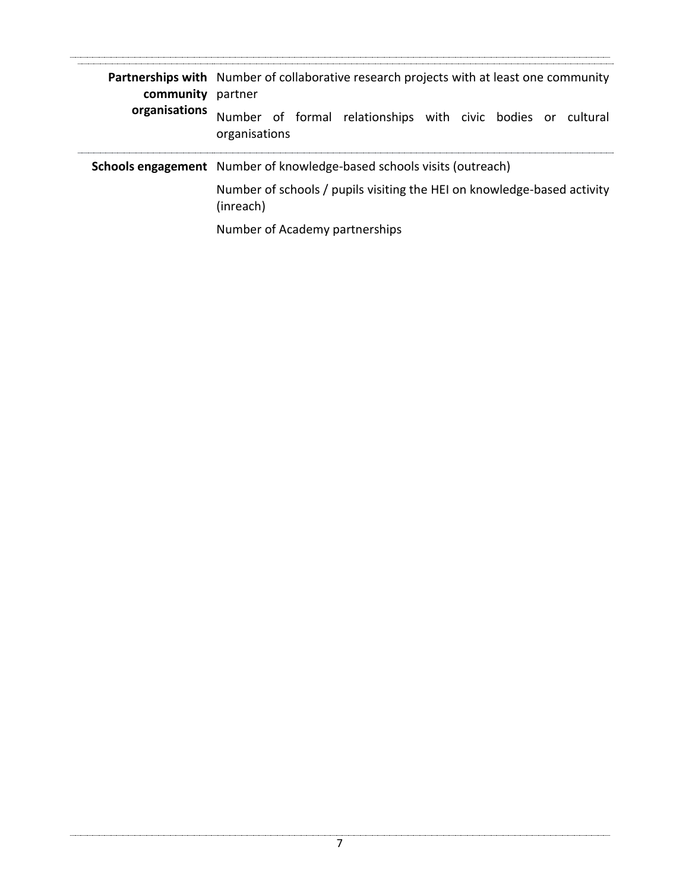| community<br>organisations | <b>Partnerships with</b> Number of collaborative research projects with at least one community<br>partner |
|----------------------------|-----------------------------------------------------------------------------------------------------------|
|                            | Number of formal relationships with civic bodies or cultural<br>organisations                             |
|                            | Schools engagement Number of knowledge-based schools visits (outreach)                                    |
|                            | Number of schools / pupils visiting the HEI on knowledge-based activity<br>(inreach)                      |
|                            | Number of Academy partnerships                                                                            |